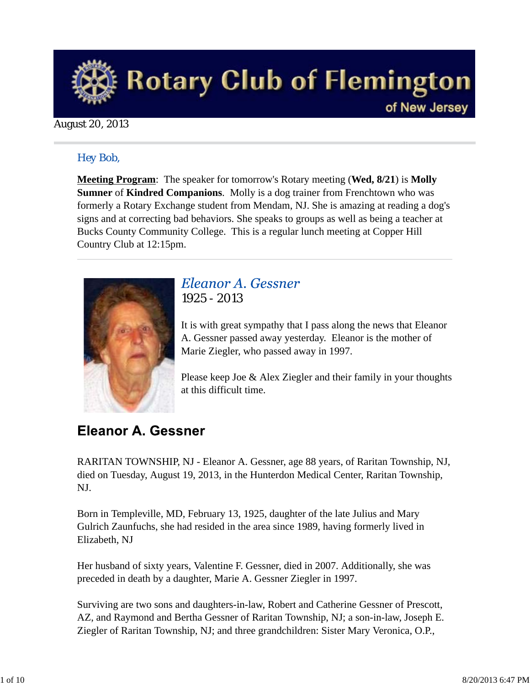

### August 20, 2013

### *Hey Bob,*

**Meeting Program**: The speaker for tomorrow's Rotary meeting (**Wed, 8/21**) is **Molly Sumner** of **Kindred Companions**. Molly is a dog trainer from Frenchtown who was formerly a Rotary Exchange student from Mendam, NJ. She is amazing at reading a dog's signs and at correcting bad behaviors. She speaks to groups as well as being a teacher at Bucks County Community College. This is a regular lunch meeting at Copper Hill Country Club at 12:15pm.



## Eleanor A. Gessner *1925 - 2013*

It is with great sympathy that I pass along the news that Eleanor A. Gessner passed away yesterday. Eleanor is the mother of Marie Ziegler, who passed away in 1997.

Please keep Joe & Alex Ziegler and their family in your thoughts at this difficult time.

## **Eleanor A. Gessner**

RARITAN TOWNSHIP, NJ - Eleanor A. Gessner, age 88 years, of Raritan Township, NJ, died on Tuesday, August 19, 2013, in the Hunterdon Medical Center, Raritan Township, NJ.

Born in Templeville, MD, February 13, 1925, daughter of the late Julius and Mary Gulrich Zaunfuchs, she had resided in the area since 1989, having formerly lived in Elizabeth, NJ

Her husband of sixty years, Valentine F. Gessner, died in 2007. Additionally, she was preceded in death by a daughter, Marie A. Gessner Ziegler in 1997.

Surviving are two sons and daughters-in-law, Robert and Catherine Gessner of Prescott, AZ, and Raymond and Bertha Gessner of Raritan Township, NJ; a son-in-law, Joseph E. Ziegler of Raritan Township, NJ; and three grandchildren: Sister Mary Veronica, O.P.,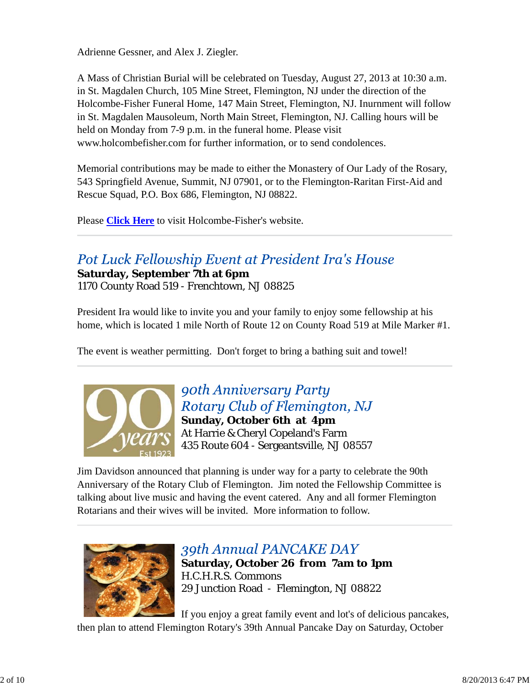Adrienne Gessner, and Alex J. Ziegler.

A Mass of Christian Burial will be celebrated on Tuesday, August 27, 2013 at 10:30 a.m. in St. Magdalen Church, 105 Mine Street, Flemington, NJ under the direction of the Holcombe-Fisher Funeral Home, 147 Main Street, Flemington, NJ. Inurnment will follow in St. Magdalen Mausoleum, North Main Street, Flemington, NJ. Calling hours will be held on Monday from 7-9 p.m. in the funeral home. Please visit www.holcombefisher.com for further information, or to send condolences.

Memorial contributions may be made to either the Monastery of Our Lady of the Rosary, 543 Springfield Avenue, Summit, NJ 07901, or to the Flemington-Raritan First-Aid and Rescue Squad, P.O. Box 686, Flemington, NJ 08822.

Please **Click Here** to visit Holcombe-Fisher's website.

## Pot Luck Fellowship Event at President Ira's House

**Saturday, September 7th at 6pm** 1170 County Road 519 - Frenchtown, NJ 08825

President Ira would like to invite you and your family to enjoy some fellowship at his home, which is located 1 mile North of Route 12 on County Road 519 at Mile Marker #1.

The event is weather permitting. Don't forget to bring a bathing suit and towel!



90th Anniversary Party Rotary Club of Flemington, NJ **Sunday, October 6th at 4pm** At Harrie & Cheryl Copeland's Farm 435 Route 604 - Sergeantsville, NJ 08557

Jim Davidson announced that planning is under way for a party to celebrate the 90th Anniversary of the Rotary Club of Flemington. Jim noted the Fellowship Committee is talking about live music and having the event catered. Any and all former Flemington Rotarians and their wives will be invited. More information to follow.



## 39th Annual PANCAKE DAY

**Saturday, October 26 from 7am to 1pm** H.C.H.R.S. Commons 29 Junction Road - Flemington, NJ 08822

If you enjoy a great family event and lot's of delicious pancakes, then plan to attend Flemington Rotary's 39th Annual Pancake Day on Saturday, October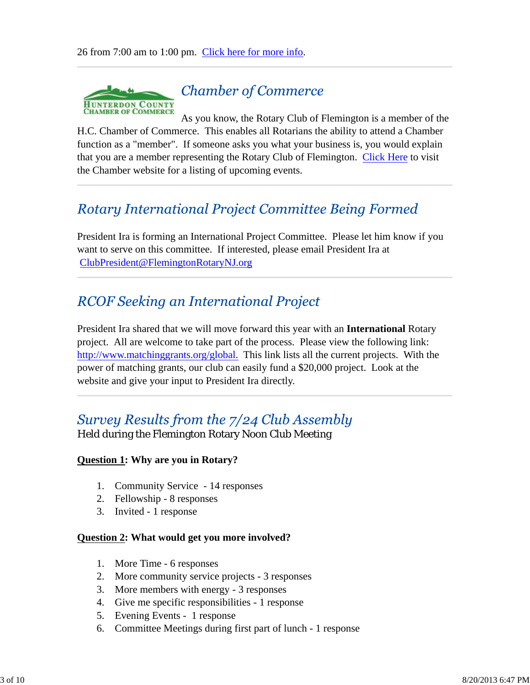

## **Chamber of Commerce**

As you know, the Rotary Club of Flemington is a member of the H.C. Chamber of Commerce. This enables all Rotarians the ability to attend a Chamber function as a "member". If someone asks you what your business is, you would explain that you are a member representing the Rotary Club of Flemington. Click Here to visit the Chamber website for a listing of upcoming events.

## **Rotary International Project Committee Being Formed**

President Ira is forming an International Project Committee. Please let him know if you want to serve on this committee. If interested, please email President Ira at ClubPresident@FlemingtonRotaryNJ.org

## **RCOF Seeking an International Project**

President Ira shared that we will move forward this year with an **International** Rotary project. All are welcome to take part of the process. Please view the following link: http://www.matchinggrants.org/global. This link lists all the current projects. With the power of matching grants, our club can easily fund a \$20,000 project. Look at the website and give your input to President Ira directly.

## Survey Results from the 7/24 Club Assembly

Held during the Flemington Rotary Noon Club Meeting

### **Question 1: Why are you in Rotary?**

- 1. Community Service 14 responses
- 2. Fellowship 8 responses
- 3. Invited 1 response

### **Question 2: What would get you more involved?**

- 1. More Time 6 responses
- 2. More community service projects 3 responses
- 3. More members with energy 3 responses
- 4. Give me specific responsibilities 1 response
- 5. Evening Events 1 response
- 6. Committee Meetings during first part of lunch 1 response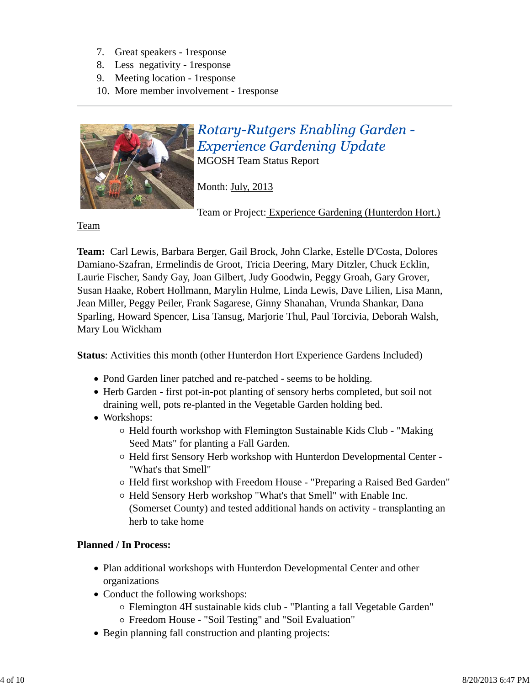- 7. Great speakers 1response
- 8. Less negativity 1response
- 9. Meeting location 1response
- 10. More member involvement 1response



# **Rotary-Rutgers Enabling Garden -Experience Gardening Update**

MGOSH Team Status Report

Month: July, 2013

Team or Project: Experience Gardening (Hunterdon Hort.)

Team

**Team:** Carl Lewis, Barbara Berger, Gail Brock, John Clarke, Estelle D'Costa, Dolores Damiano-Szafran, Ermelindis de Groot, Tricia Deering, Mary Ditzler, Chuck Ecklin, Laurie Fischer, Sandy Gay, Joan Gilbert, Judy Goodwin, Peggy Groah, Gary Grover, Susan Haake, Robert Hollmann, Marylin Hulme, Linda Lewis, Dave Lilien, Lisa Mann, Jean Miller, Peggy Peiler, Frank Sagarese, Ginny Shanahan, Vrunda Shankar, Dana Sparling, Howard Spencer, Lisa Tansug, Marjorie Thul, Paul Torcivia, Deborah Walsh, Mary Lou Wickham

**Status**: Activities this month (other Hunterdon Hort Experience Gardens Included)

- Pond Garden liner patched and re-patched seems to be holding.
- Herb Garden first pot-in-pot planting of sensory herbs completed, but soil not draining well, pots re-planted in the Vegetable Garden holding bed.
- Workshops:
	- $\circ$  Held fourth workshop with Flemington Sustainable Kids Club "Making Seed Mats" for planting a Fall Garden.
	- Held first Sensory Herb workshop with Hunterdon Developmental Center "What's that Smell"
	- Held first workshop with Freedom House "Preparing a Raised Bed Garden"
	- Held Sensory Herb workshop "What's that Smell" with Enable Inc. (Somerset County) and tested additional hands on activity - transplanting an herb to take home

## **Planned / In Process:**

- Plan additional workshops with Hunterdon Developmental Center and other organizations
- Conduct the following workshops:
	- Flemington 4H sustainable kids club "Planting a fall Vegetable Garden"
	- Freedom House "Soil Testing" and "Soil Evaluation"
- Begin planning fall construction and planting projects: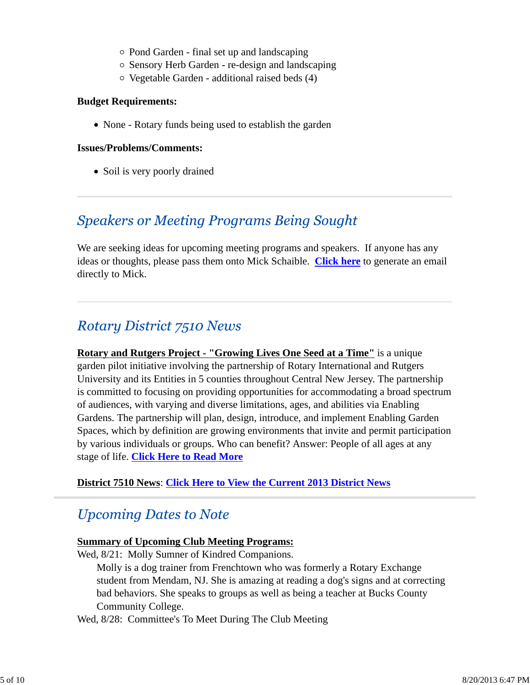- Pond Garden final set up and landscaping
- Sensory Herb Garden re-design and landscaping
- Vegetable Garden additional raised beds (4)

#### **Budget Requirements:**

• None - Rotary funds being used to establish the garden

#### **Issues/Problems/Comments:**

• Soil is very poorly drained

## **Speakers or Meeting Programs Being Sought**

We are seeking ideas for upcoming meeting programs and speakers. If anyone has any ideas or thoughts, please pass them onto Mick Schaible. **Click here** to generate an email directly to Mick.

## **Rotary District 7510 News**

**Rotary and Rutgers Project - "Growing Lives One Seed at a Time"** is a unique garden pilot initiative involving the partnership of Rotary International and Rutgers University and its Entities in 5 counties throughout Central New Jersey. The partnership is committed to focusing on providing opportunities for accommodating a broad spectrum of audiences, with varying and diverse limitations, ages, and abilities via Enabling Gardens. The partnership will plan, design, introduce, and implement Enabling Garden Spaces, which by definition are growing environments that invite and permit participation by various individuals or groups. Who can benefit? Answer: People of all ages at any stage of life. **Click Here to Read More**

### **District 7510 News**: **Click Here to View the Current 2013 District News**

## **Upcoming Dates to Note**

### **Summary of Upcoming Club Meeting Programs:**

Wed,  $8/21$ : Molly Sumner of Kindred Companions.

Molly is a dog trainer from Frenchtown who was formerly a Rotary Exchange student from Mendam, NJ. She is amazing at reading a dog's signs and at correcting bad behaviors. She speaks to groups as well as being a teacher at Bucks County Community College.

Wed, 8/28: Committee's To Meet During The Club Meeting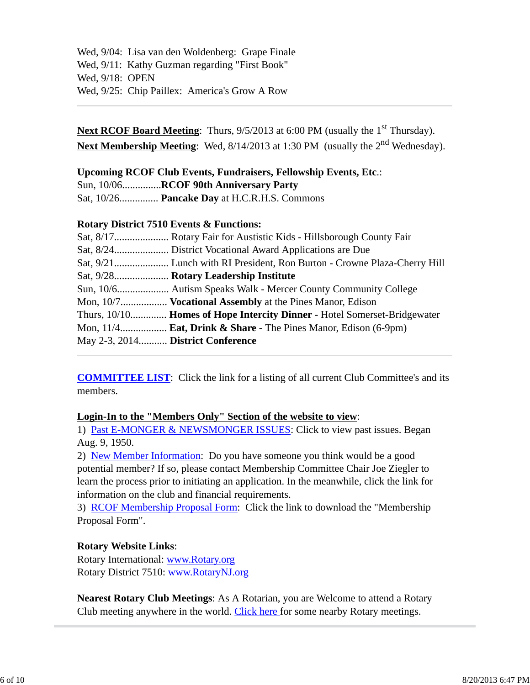Wed, 9/04: Lisa van den Woldenberg: Grape Finale Wed, 9/11: Kathy Guzman regarding "First Book" Wed, 9/18: OPEN Wed, 9/25: Chip Paillex: America's Grow A Row

**Next RCOF Board Meeting:** Thurs,  $9/5/2013$  at 6:00 PM (usually the 1<sup>st</sup> Thursday). Next Membership Meeting: Wed, 8/14/2013 at 1:30 PM (usually the 2<sup>nd</sup> Wednesday).

### **Upcoming RCOF Club Events, Fundraisers, Fellowship Events, Etc**.:

Sun, 10/06...............**RCOF 90th Anniversary Party**

Sat, 10/26............... **Pancake Day** at H.C.R.H.S. Commons

### **Rotary District 7510 Events & Functions:**

|                                   | Mon, 10/7 <b>Vocational Assembly</b> at the Pines Manor, Edison             |
|-----------------------------------|-----------------------------------------------------------------------------|
|                                   | Thurs, 10/10 Homes of Hope Intercity Dinner - Hotel Somerset-Bridgewater    |
|                                   | Mon, $11/4$ <b>Eat, Drink &amp; Share</b> - The Pines Manor, Edison (6-9pm) |
| May 2-3, 2014 District Conference |                                                                             |

**COMMITTEE LIST**: Click the link for a listing of all current Club Committee's and its members.

### **Login-In to the "Members Only" Section of the website to view**:

1) Past E-MONGER & NEWSMONGER ISSUES: Click to view past issues. Began Aug. 9, 1950.

2) New Member Information: Do you have someone you think would be a good potential member? If so, please contact Membership Committee Chair Joe Ziegler to learn the process prior to initiating an application. In the meanwhile, click the link for information on the club and financial requirements.

3) RCOF Membership Proposal Form: Click the link to download the "Membership Proposal Form".

### **Rotary Website Links**:

Rotary International: www.Rotary.org Rotary District 7510: www.RotaryNJ.org

**Nearest Rotary Club Meetings**: As A Rotarian, you are Welcome to attend a Rotary Club meeting anywhere in the world. Click here for some nearby Rotary meetings.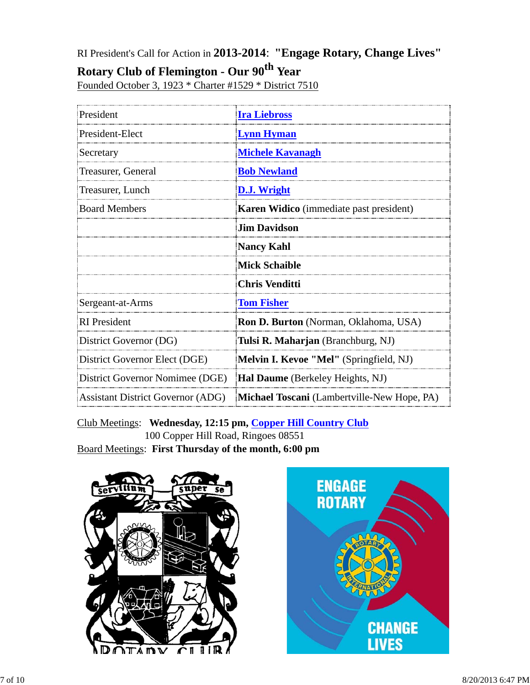RI President's Call for Action in **2013-2014**: **"Engage Rotary, Change Lives"**

## **Rotary Club of Flemington - Our 90th Year**

Founded October 3, 1923 \* Charter #1529 \* District 7510

| President                                | <b>Ira Liebross</b>                         |  |  |
|------------------------------------------|---------------------------------------------|--|--|
| President-Elect                          | <b>Lynn Hyman</b>                           |  |  |
| Secretary                                | <b>Michele Kavanagh</b>                     |  |  |
| Treasurer, General                       | <b>Bob Newland</b>                          |  |  |
| Treasurer, Lunch                         | D.J. Wright                                 |  |  |
| <b>Board Members</b>                     | Karen Widico (immediate past president)     |  |  |
|                                          | <b>Jim Davidson</b>                         |  |  |
|                                          | <b>Nancy Kahl</b>                           |  |  |
|                                          | <b>Mick Schaible</b>                        |  |  |
|                                          | <b>Chris Venditti</b>                       |  |  |
| Sergeant-at-Arms                         | <b>Tom Fisher</b>                           |  |  |
| <b>RI</b> President                      | Ron D. Burton (Norman, Oklahoma, USA)       |  |  |
| District Governor (DG)                   | Tulsi R. Maharjan (Branchburg, NJ)          |  |  |
| District Governor Elect (DGE)            | Melvin I. Kevoe "Mel" (Springfield, NJ)     |  |  |
| District Governor Nomimee (DGE)          | <b>Hal Daume</b> (Berkeley Heights, NJ)     |  |  |
| <b>Assistant District Governor (ADG)</b> | Michael Toscani (Lambertville-New Hope, PA) |  |  |

Club Meetings: **Wednesday, 12:15 pm, Copper Hill Country Club** 100 Copper Hill Road, Ringoes 08551 Board Meetings: **First Thursday of the month, 6:00 pm**



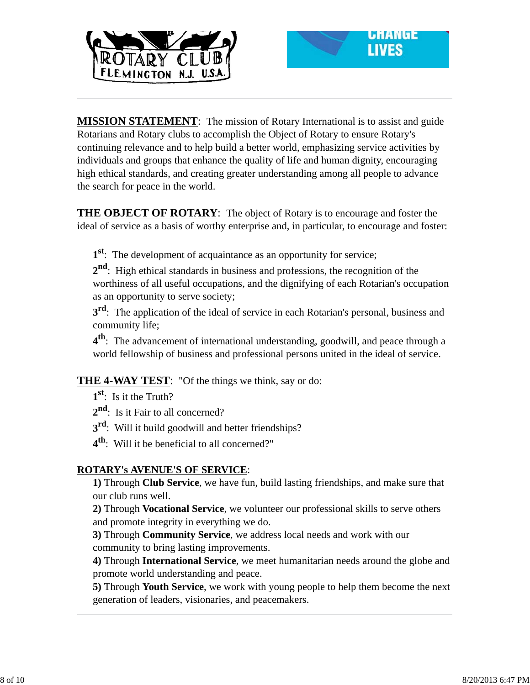



**MISSION STATEMENT**: The mission of Rotary International is to assist and guide Rotarians and Rotary clubs to accomplish the Object of Rotary to ensure Rotary's continuing relevance and to help build a better world, emphasizing service activities by individuals and groups that enhance the quality of life and human dignity, encouraging high ethical standards, and creating greater understanding among all people to advance the search for peace in the world.

**THE OBJECT OF ROTARY**: The object of Rotary is to encourage and foster the ideal of service as a basis of worthy enterprise and, in particular, to encourage and foster:

**1st**: The development of acquaintance as an opportunity for service;

**2nd**: High ethical standards in business and professions, the recognition of the worthiness of all useful occupations, and the dignifying of each Rotarian's occupation as an opportunity to serve society;

**3<sup>rd</sup>**: The application of the ideal of service in each Rotarian's personal, business and community life;

**4th**: The advancement of international understanding, goodwill, and peace through a world fellowship of business and professional persons united in the ideal of service.

**THE 4-WAY TEST**: "Of the things we think, say or do:

**1st**: Is it the Truth?

2<sup>nd</sup>: Is it Fair to all concerned?

**3rd**: Will it build goodwill and better friendships?

**4th**: Will it be beneficial to all concerned?"

### **ROTARY's AVENUE'S OF SERVICE**:

**1)** Through **Club Service**, we have fun, build lasting friendships, and make sure that our club runs well.

**2)** Through **Vocational Service**, we volunteer our professional skills to serve others and promote integrity in everything we do.

**3)** Through **Community Service**, we address local needs and work with our community to bring lasting improvements.

**4)** Through **International Service**, we meet humanitarian needs around the globe and promote world understanding and peace.

**5)** Through **Youth Service**, we work with young people to help them become the next generation of leaders, visionaries, and peacemakers.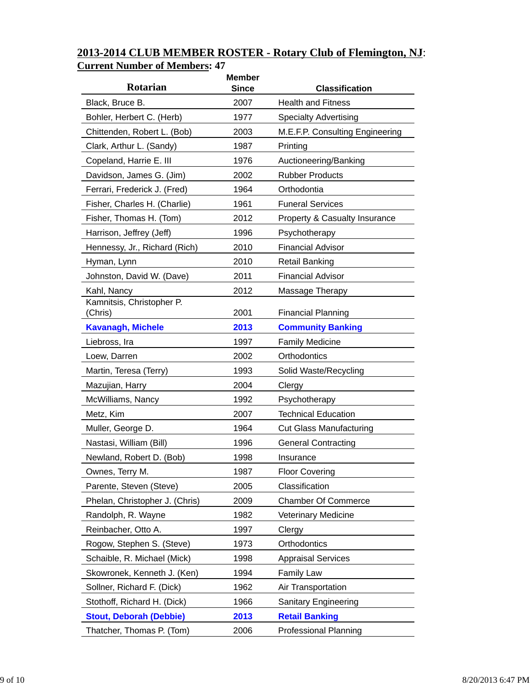| <b>Rotarian</b>                      | <b>Member</b><br><b>Since</b> | <b>Classification</b>                    |
|--------------------------------------|-------------------------------|------------------------------------------|
| Black, Bruce B.                      | 2007                          | <b>Health and Fitness</b>                |
| Bohler, Herbert C. (Herb)            | 1977                          | <b>Specialty Advertising</b>             |
| Chittenden, Robert L. (Bob)          | 2003                          | M.E.F.P. Consulting Engineering          |
| Clark, Arthur L. (Sandy)             | 1987                          | Printing                                 |
| Copeland, Harrie E. III              | 1976                          | Auctioneering/Banking                    |
| Davidson, James G. (Jim)             | 2002                          | <b>Rubber Products</b>                   |
| Ferrari, Frederick J. (Fred)         | 1964                          | Orthodontia                              |
| Fisher, Charles H. (Charlie)         | 1961                          | <b>Funeral Services</b>                  |
| Fisher, Thomas H. (Tom)              | 2012                          | <b>Property &amp; Casualty Insurance</b> |
| Harrison, Jeffrey (Jeff)             | 1996                          | Psychotherapy                            |
| Hennessy, Jr., Richard (Rich)        | 2010                          | <b>Financial Advisor</b>                 |
| Hyman, Lynn                          | 2010                          | <b>Retail Banking</b>                    |
| Johnston, David W. (Dave)            | 2011                          | <b>Financial Advisor</b>                 |
| Kahl, Nancy                          | 2012                          | Massage Therapy                          |
| Kamnitsis, Christopher P.<br>(Chris) | 2001                          | <b>Financial Planning</b>                |
| <b>Kavanagh, Michele</b>             | 2013                          | <b>Community Banking</b>                 |
| Liebross, Ira                        | 1997                          | <b>Family Medicine</b>                   |
| Loew, Darren                         | 2002                          | Orthodontics                             |
| Martin, Teresa (Terry)               | 1993                          | Solid Waste/Recycling                    |
| Mazujian, Harry                      | 2004                          | Clergy                                   |
| McWilliams, Nancy                    | 1992                          | Psychotherapy                            |
| Metz, Kim                            | 2007                          | <b>Technical Education</b>               |
| Muller, George D.                    | 1964                          | <b>Cut Glass Manufacturing</b>           |
| Nastasi, William (Bill)              | 1996                          | <b>General Contracting</b>               |
| Newland, Robert D. (Bob)             | 1998                          | Insurance                                |
| Ownes, Terry M.                      | 1987                          | <b>Floor Covering</b>                    |
| Parente, Steven (Steve)              | 2005                          | Classification                           |
| Phelan, Christopher J. (Chris)       | 2009                          | <b>Chamber Of Commerce</b>               |
| Randolph, R. Wayne                   | 1982                          | <b>Veterinary Medicine</b>               |
| Reinbacher, Otto A.                  | 1997                          | Clergy                                   |
| Rogow, Stephen S. (Steve)            | 1973                          | Orthodontics                             |
| Schaible, R. Michael (Mick)          | 1998                          | <b>Appraisal Services</b>                |
| Skowronek, Kenneth J. (Ken)          | 1994                          | <b>Family Law</b>                        |
| Sollner, Richard F. (Dick)           | 1962                          | Air Transportation                       |
| Stothoff, Richard H. (Dick)          | 1966                          | <b>Sanitary Engineering</b>              |
| <b>Stout, Deborah (Debbie)</b>       | 2013                          | <b>Retail Banking</b>                    |
| Thatcher, Thomas P. (Tom)            | 2006                          | <b>Professional Planning</b>             |

## **2013-2014 CLUB MEMBER ROSTER - Rotary Club of Flemington, NJ**: **Current Number of Members: 47**